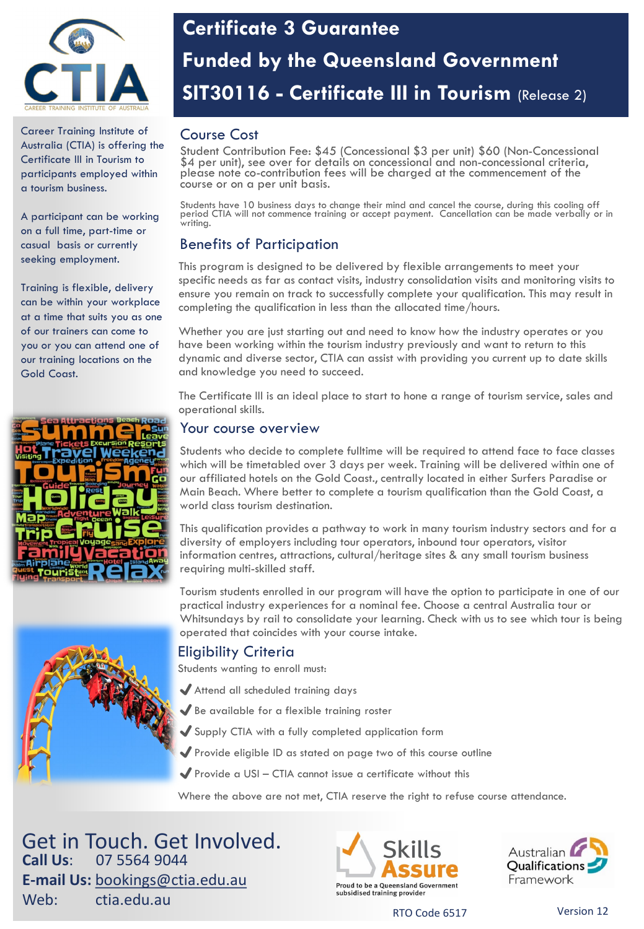

Career Training Institute of Australia (CTIA) is offering the Certificate III in Tourism to participants employed within a tourism business.

A participant can be working on a full time, part-time or casual basis or currently seeking employment.

Training is flexible, delivery can be within your workplace at a time that suits you as one of our trainers can come to you or you can attend one of our training locations on the Gold Coast.



# **Certificate 3 Guarantee Funded by the Queensland Government SIT30116 - Certificate III in Tourism** (Release 2)

## Course Cost

Student Contribution Fee: \$45 (Concessional \$3 per unit) \$60 (Non-Concessional \$4 per unit), see over for details on concessional and non-concessional criteria, please note co-contribution fees will be charged at the commencement of the course or on a per unit basis.

Students have 10 business days to change their mind and cancel the course, during this cooling off period CTIA will not commence training or accept payment. Cancellation can be made verbally or in .<br>writina.

## Benefits of Participation

This program is designed to be delivered by flexible arrangements to meet your specific needs as far as contact visits, industry consolidation visits and monitoring visits to ensure you remain on track to successfully complete your qualification. This may result in completing the qualification in less than the allocated time/hours.

Whether you are just starting out and need to know how the industry operates or you have been working within the tourism industry previously and want to return to this dynamic and diverse sector, CTIA can assist with providing you current up to date skills and knowledge you need to succeed.

The Certificate III is an ideal place to start to hone a range of tourism service, sales and operational skills.

### Your course overview

Students who decide to complete fulltime will be required to attend face to face classes which will be timetabled over 3 days per week. Training will be delivered within one of our affiliated hotels on the Gold Coast., centrally located in either Surfers Paradise or Main Beach. Where better to complete a tourism qualification than the Gold Coast, a world class tourism destination.

This qualification provides a pathway to work in many tourism industry sectors and for a diversity of employers including tour operators, inbound tour operators, visitor information centres, attractions, cultural/heritage sites & any small tourism business requiring multi-skilled staff.

Tourism students enrolled in our program will have the option to participate in one of our practical industry experiences for a nominal fee. Choose a central Australia tour or Whitsundays by rail to consolidate your learning. Check with us to see which tour is being operated that coincides with your course intake.

### Eligibility Criteria

Students wanting to enroll must:

- ✔Attend all scheduled training days
- ✔Be available for a flexible training roster
- ◆ Supply CTIA with a fully completed application form
- ◆ Provide eligible ID as stated on page two of this course outline
- $\blacktriangleright$  Provide a USI CTIA cannot issue a certificate without this

Where the above are not met, CTIA reserve the right to refuse course attendance.

Get in Touch. Get Involved. **Call Us**: 07 5564 9044 **E-mail Us:** [bookings@ctia.edu.au](mailto:bookings@ctia.edu.au) Web: ctia.edu.au





RTO Code 6517 Version 12